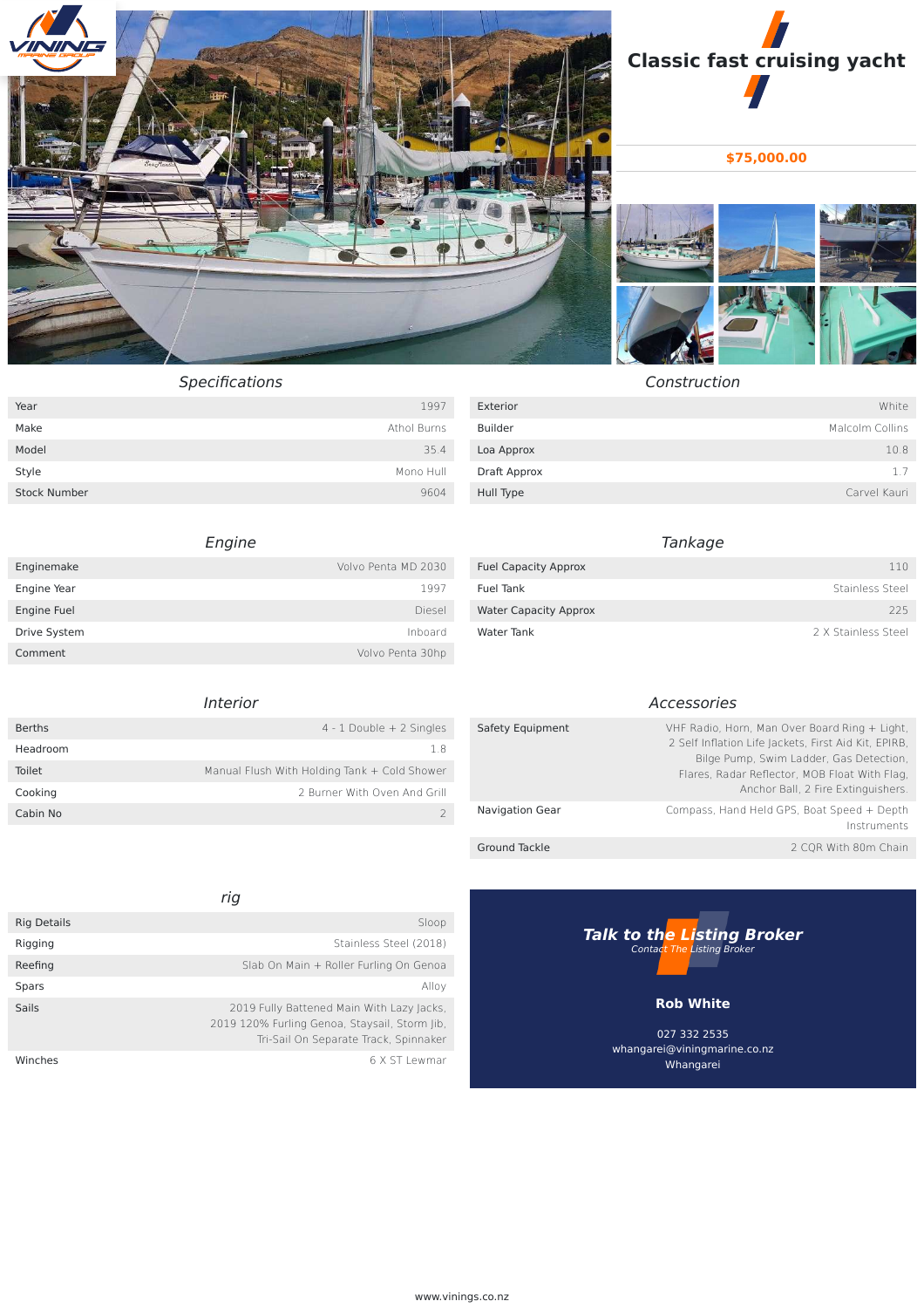



**\$75,000.00**



Construction

| Specifications |
|----------------|
|                |

| Year                | 1997        |
|---------------------|-------------|
| Make                | Athol Burns |
| Model               | 35.4        |
| Style               | Mono Hull   |
| <b>Stock Number</b> | 9604        |

## Engine

| Enginemake   | Volvo Penta MD 2030 |
|--------------|---------------------|
| Engine Year  | 1997                |
| Engine Fuel  | Diesel              |
| Drive System | Inboard             |
| Comment      | Volvo Penta 30hp    |

### Interior

| <b>Berths</b> | $4 - 1$ Double $+ 2$ Singles                 |
|---------------|----------------------------------------------|
| Headroom      | 1.8                                          |
| Toilet        | Manual Flush With Holding Tank + Cold Shower |
| Cooking       | 2 Burner With Oven And Grill                 |
| Cabin No      |                                              |

### rig **Rig Details** Sloop Rigging Stainless Steel (2018) Reefing **Slab On Main + Roller Furling On Genoa Spars Alloy Spars** Alloy **Alloy** Sails 2019 Fully Battened Main With Lazy Jacks, 2019 120% Furling Genoa, Staysail, Storm Jib, Tri-Sail On Separate Track, Spinnaker Winches 6 X ST Lewmar

| Exterior     | White           |
|--------------|-----------------|
| Builder      | Malcolm Collins |
| Loa Approx   | 10.8            |
| Draft Approx | 1.7             |
| Hull Type    | Carvel Kauri    |

# Tankage

| <b>Fuel Capacity Approx</b>  | 110                 |
|------------------------------|---------------------|
| Fuel Tank                    | Stainless Steel     |
| <b>Water Capacity Approx</b> | 225                 |
| Water Tank                   | 2 X Stainless Steel |

### Accessories

| Safety Equipment       | VHF Radio, Horn, Man Over Board Ring + Light,<br>2 Self Inflation Life Jackets, First Aid Kit, EPIRB,<br>Bilge Pump, Swim Ladder, Gas Detection,<br>Flares, Radar Reflector, MOB Float With Flag,<br>Anchor Ball, 2 Fire Extinguishers. |
|------------------------|-----------------------------------------------------------------------------------------------------------------------------------------------------------------------------------------------------------------------------------------|
| <b>Navigation Gear</b> | Compass, Hand Held GPS, Boat Speed + Depth<br>Instruments                                                                                                                                                                               |
| Ground Tackle          | 2 CQR With 80m Chain                                                                                                                                                                                                                    |



027 332 2535 whangarei@viningmarine.co.nz Whangarei